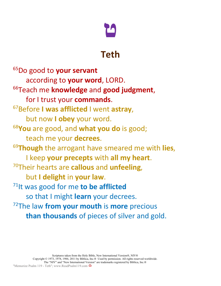

## **Teth**

65Do good to **your servant** according to **your word**, LORD. 66Teach me **knowledge** and **good judgment**, for I trust your **commands**. 67Before **I was afflicted** I went **astray**, but now **I obey** your word. 68 **You** are good, and **what you do** is good; teach me your **decrees**. 69 **Though** the arrogant have smeared me with **lies**, I keep **your precepts** with **all my heart**. 70Their hearts are **callous** and **unfeeling**, but **I delight** in **your law**. 71It was good for me **to be afflicted** so that I might **learn** your decrees. 72The law **from your mouth** is **more** precious **than thousands** of pieces of silver and gold.